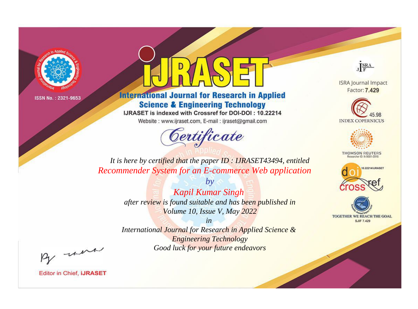

# **International Journal for Research in Applied Science & Engineering Technology**

IJRASET is indexed with Crossref for DOI-DOI: 10.22214

Website: www.ijraset.com, E-mail: ijraset@gmail.com



JERA

**ISRA Journal Impact** Factor: 7.429





**THOMSON REUTERS** 



TOGETHER WE REACH THE GOAL **SJIF 7.429** 

It is here by certified that the paper ID: IJRASET43494, entitled **Recommender System for an E-commerce Web application** 

> **Kapil Kumar Singh** after review is found suitable and has been published in Volume 10, Issue V, May 2022

 $b\nu$ 

 $in$ International Journal for Research in Applied Science & **Engineering Technology** Good luck for your future endeavors

By morn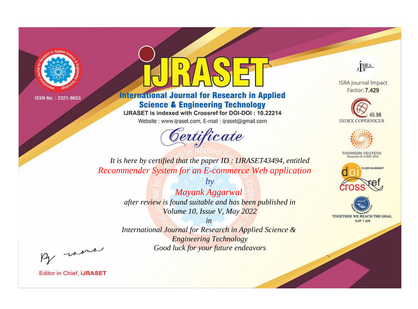

# **International Journal for Research in Applied Science & Engineering Technology**

IJRASET is indexed with Crossref for DOI-DOI: 10.22214

Website: www.ijraset.com, E-mail: ijraset@gmail.com



JERA

**ISRA Journal Impact** Factor: 7.429





**THOMSON REUTERS** 



TOGETHER WE REACH THE GOAL **SJIF 7.429** 

*It is here by certified that the paper ID : IJRASET43494, entitled Recommender System for an E-commerce Web application*

> *Mayank Aggarwal after review is found suitable and has been published in Volume 10, Issue V, May 2022*

*by*

*in* 

*International Journal for Research in Applied Science & Engineering Technology Good luck for your future endeavors*

By morn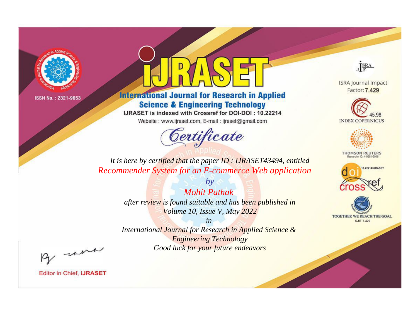

# **International Journal for Research in Applied Science & Engineering Technology**

IJRASET is indexed with Crossref for DOI-DOI: 10.22214

Website: www.ijraset.com, E-mail: ijraset@gmail.com



JERA

**ISRA Journal Impact** Factor: 7.429





**THOMSON REUTERS** 



TOGETHER WE REACH THE GOAL **SJIF 7.429** 

*It is here by certified that the paper ID : IJRASET43494, entitled Recommender System for an E-commerce Web application*

> *Mohit Pathak after review is found suitable and has been published in Volume 10, Issue V, May 2022*

*by*

*in* 

*International Journal for Research in Applied Science & Engineering Technology Good luck for your future endeavors*

By morn